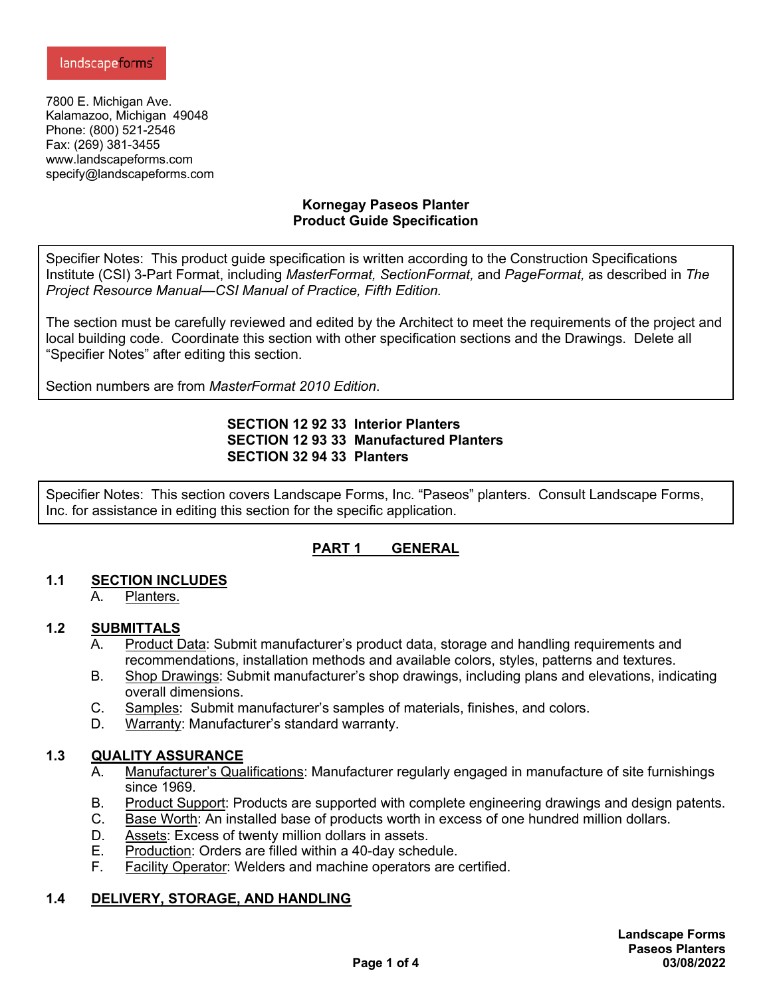7800 E. Michigan Ave. Kalamazoo, Michigan 49048 Phone: (800) 521-2546 Fax: (269) 381-3455 www.landscapeforms.com specify@landscapeforms.com

#### **Kornegay Paseos Planter Product Guide Specification**

Specifier Notes: This product guide specification is written according to the Construction Specifications Institute (CSI) 3-Part Format, including *MasterFormat, SectionFormat,* and *PageFormat,* as described in *The Project Resource Manual—CSI Manual of Practice, Fifth Edition.*

The section must be carefully reviewed and edited by the Architect to meet the requirements of the project and local building code. Coordinate this section with other specification sections and the Drawings. Delete all "Specifier Notes" after editing this section.

Section numbers are from *MasterFormat 2010 Edition*.

### **SECTION 12 92 33 Interior Planters SECTION 12 93 33 Manufactured Planters SECTION 32 94 33 Planters**

Specifier Notes: This section covers Landscape Forms, Inc. "Paseos" planters. Consult Landscape Forms, Inc. for assistance in editing this section for the specific application.

# **PART 1 GENERAL**

### **1.1 SECTION INCLUDES**

A. Planters.

### **1.2 SUBMITTALS**

- A. Product Data: Submit manufacturer's product data, storage and handling requirements and recommendations, installation methods and available colors, styles, patterns and textures.
- B. Shop Drawings: Submit manufacturer's shop drawings, including plans and elevations, indicating overall dimensions.
- C. Samples: Submit manufacturer's samples of materials, finishes, and colors.
- D. Warranty: Manufacturer's standard warranty.

### **1.3 QUALITY ASSURANCE**

- A. Manufacturer's Qualifications: Manufacturer regularly engaged in manufacture of site furnishings since 1969.
- B. Product Support: Products are supported with complete engineering drawings and design patents.
- C. Base Worth: An installed base of products worth in excess of one hundred million dollars.
- D. Assets: Excess of twenty million dollars in assets.
- E. Production: Orders are filled within a 40-day schedule.
- F. Facility Operator: Welders and machine operators are certified.

### **1.4 DELIVERY, STORAGE, AND HANDLING**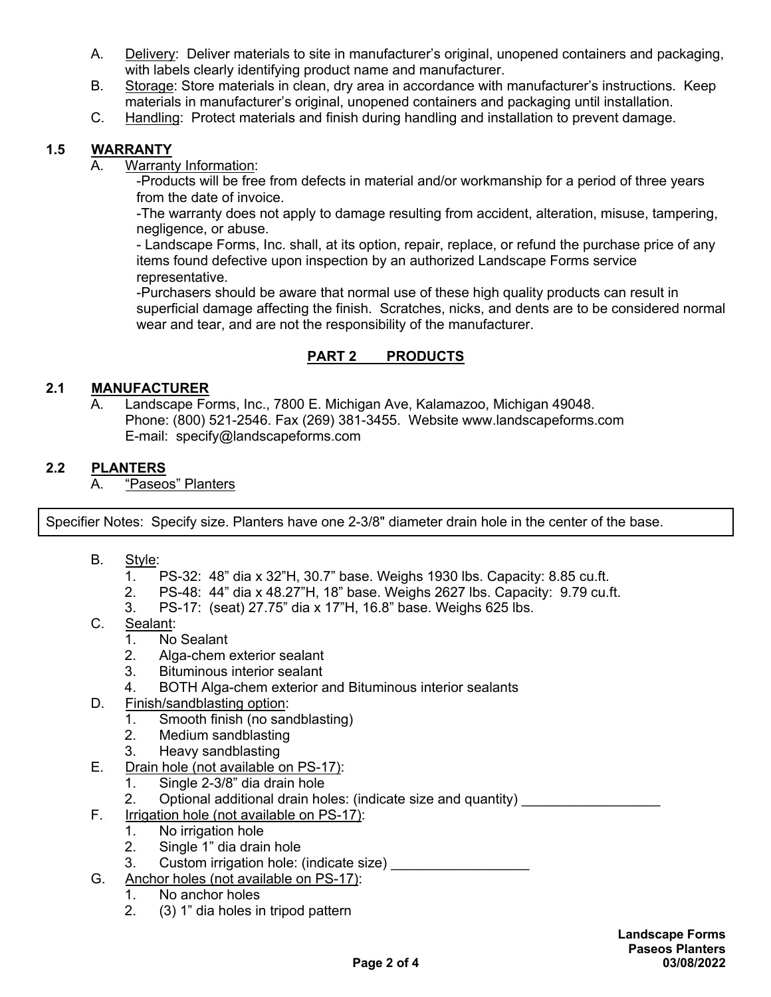- A. Delivery: Deliver materials to site in manufacturer's original, unopened containers and packaging, with labels clearly identifying product name and manufacturer.
- B. Storage: Store materials in clean, dry area in accordance with manufacturer's instructions. Keep materials in manufacturer's original, unopened containers and packaging until installation.
- C. Handling: Protect materials and finish during handling and installation to prevent damage.

# **1.5 WARRANTY**

## A. Warranty Information:

-Products will be free from defects in material and/or workmanship for a period of three years from the date of invoice.

-The warranty does not apply to damage resulting from accident, alteration, misuse, tampering, negligence, or abuse.

- Landscape Forms, Inc. shall, at its option, repair, replace, or refund the purchase price of any items found defective upon inspection by an authorized Landscape Forms service representative.

-Purchasers should be aware that normal use of these high quality products can result in superficial damage affecting the finish. Scratches, nicks, and dents are to be considered normal wear and tear, and are not the responsibility of the manufacturer.

# **PART 2 PRODUCTS**

# **2.1 MANUFACTURER**

A. Landscape Forms, Inc., 7800 E. Michigan Ave, Kalamazoo, Michigan 49048. Phone: (800) 521-2546. Fax (269) 381-3455. Website www.landscapeforms.com E-mail: specify@landscapeforms.com

# **2.2 PLANTERS**

A. "Paseos" Planters

Specifier Notes: Specify size. Planters have one 2-3/8" diameter drain hole in the center of the base.

- B. Style:
	- 1. PS-32: 48" dia x 32"H, 30.7" base. Weighs 1930 lbs. Capacity: 8.85 cu.ft.
	- 2. PS-48: 44" dia x 48.27"H, 18" base. Weighs 2627 lbs. Capacity: 9.79 cu.ft.
	- 3. PS-17: (seat) 27.75" dia x 17"H, 16.8" base. Weighs 625 lbs.
- C. Sealant:
	- 1. No Sealant
	- 2. Alga-chem exterior sealant
	- 3. Bituminous interior sealant
	- 4. BOTH Alga-chem exterior and Bituminous interior sealants
- D. Finish/sandblasting option:
	- 1. Smooth finish (no sandblasting)
	- 2. Medium sandblasting
	- 3. Heavy sandblasting
- E. Drain hole (not available on PS-17):
	- 1. Single 2-3/8" dia drain hole
	- 2. Optional additional drain holes: (indicate size and quantity)
- F. Irrigation hole (not available on PS-17):
	- 1. No irrigation hole
	- 2. Single 1" dia drain hole
	- 3. Custom irrigation hole: (indicate size)
- G. Anchor holes (not available on PS-17):
	- 1. No anchor holes
	- 2. (3) 1" dia holes in tripod pattern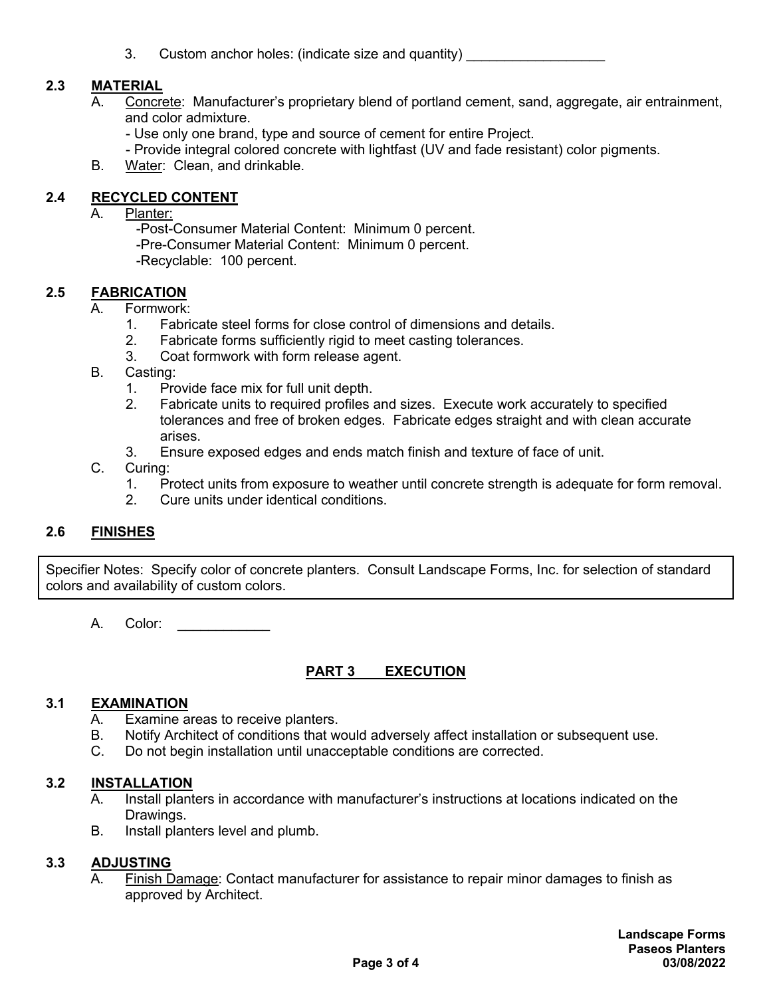3. Custom anchor holes: (indicate size and quantity)

### **2.3 MATERIAL**

- A. Concrete: Manufacturer's proprietary blend of portland cement, sand, aggregate, air entrainment, and color admixture.
	- Use only one brand, type and source of cement for entire Project.
	- Provide integral colored concrete with lightfast (UV and fade resistant) color pigments.
- B. Water: Clean, and drinkable.

### **2.4 RECYCLED CONTENT**

- A. Planter:
	- -Post-Consumer Material Content: Minimum 0 percent.
	- -Pre-Consumer Material Content: Minimum 0 percent.
	- -Recyclable: 100 percent.

#### **2.5 FABRICATION**

- A. Formwork:
	- 1. Fabricate steel forms for close control of dimensions and details.
	- 2. Fabricate forms sufficiently rigid to meet casting tolerances.
	- 3. Coat formwork with form release agent.
- B. Casting:
	- 1. Provide face mix for full unit depth.
	- 2. Fabricate units to required profiles and sizes. Execute work accurately to specified tolerances and free of broken edges. Fabricate edges straight and with clean accurate arises.
	- 3. Ensure exposed edges and ends match finish and texture of face of unit.
- C. Curing:
	- 1. Protect units from exposure to weather until concrete strength is adequate for form removal.
	- 2. Cure units under identical conditions.

#### **2.6 FINISHES**

Specifier Notes: Specify color of concrete planters. Consult Landscape Forms, Inc. for selection of standard colors and availability of custom colors.

A. Color:

### **PART 3 EXECUTION**

#### **3.1 EXAMINATION**

- A. Examine areas to receive planters.
- B. Notify Architect of conditions that would adversely affect installation or subsequent use.
- C. Do not begin installation until unacceptable conditions are corrected.

### **3.2 INSTALLATION**

- A. Install planters in accordance with manufacturer's instructions at locations indicated on the Drawings.
- B. Install planters level and plumb.

#### **3.3 ADJUSTING**

A. Finish Damage: Contact manufacturer for assistance to repair minor damages to finish as approved by Architect.